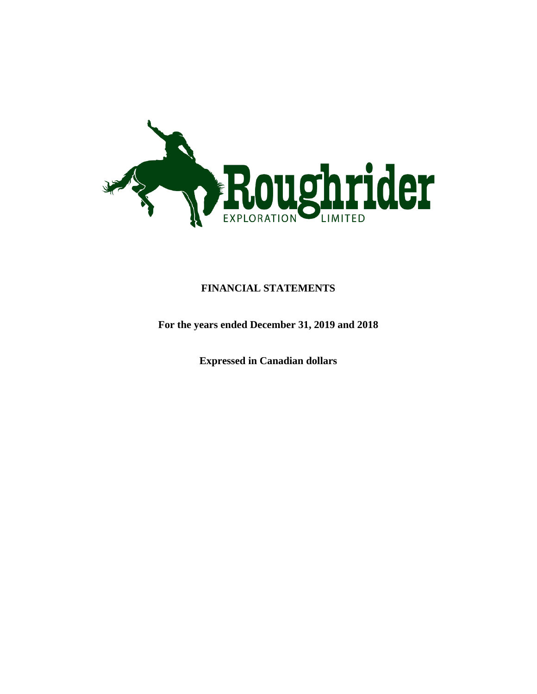

# **FINANCIAL STATEMENTS**

**For the years ended December 31, 2019 and 2018**

**Expressed in Canadian dollars**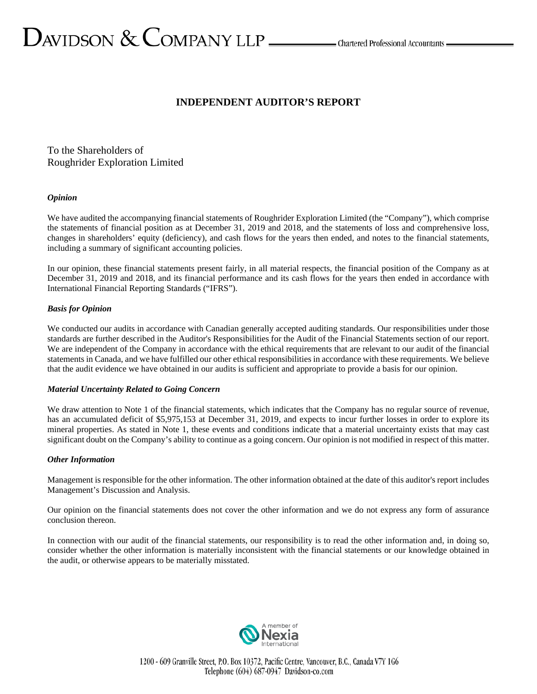# **INDEPENDENT AUDITOR'S REPORT**

To the Shareholders of Roughrider Exploration Limited

# *Opinion*

We have audited the accompanying financial statements of Roughrider Exploration Limited (the "Company"), which comprise the statements of financial position as at December 31, 2019 and 2018, and the statements of loss and comprehensive loss, changes in shareholders' equity (deficiency), and cash flows for the years then ended, and notes to the financial statements, including a summary of significant accounting policies.

In our opinion, these financial statements present fairly, in all material respects, the financial position of the Company as at December 31, 2019 and 2018, and its financial performance and its cash flows for the years then ended in accordance with International Financial Reporting Standards ("IFRS").

# *Basis for Opinion*

We conducted our audits in accordance with Canadian generally accepted auditing standards. Our responsibilities under those standards are further described in the Auditor's Responsibilities for the Audit of the Financial Statements section of our report. We are independent of the Company in accordance with the ethical requirements that are relevant to our audit of the financial statements in Canada, and we have fulfilled our other ethical responsibilities in accordance with these requirements. We believe that the audit evidence we have obtained in our audits is sufficient and appropriate to provide a basis for our opinion.

# *Material Uncertainty Related to Going Concern*

We draw attention to Note 1 of the financial statements, which indicates that the Company has no regular source of revenue, has an accumulated deficit of \$5,975,153 at December 31, 2019, and expects to incur further losses in order to explore its mineral properties. As stated in Note 1, these events and conditions indicate that a material uncertainty exists that may cast significant doubt on the Company's ability to continue as a going concern. Our opinion is not modified in respect of this matter.

# *Other Information*

Management is responsible for the other information. The other information obtained at the date of this auditor's report includes Management's Discussion and Analysis.

Our opinion on the financial statements does not cover the other information and we do not express any form of assurance conclusion thereon.

In connection with our audit of the financial statements, our responsibility is to read the other information and, in doing so, consider whether the other information is materially inconsistent with the financial statements or our knowledge obtained in the audit, or otherwise appears to be materially misstated.

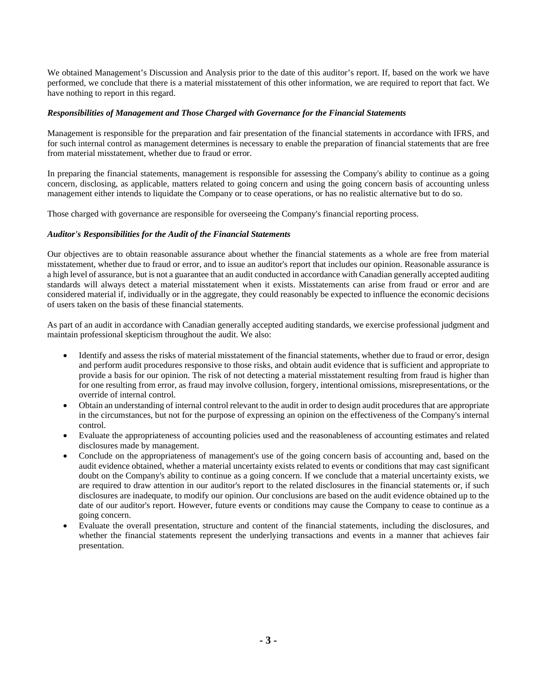We obtained Management's Discussion and Analysis prior to the date of this auditor's report. If, based on the work we have performed, we conclude that there is a material misstatement of this other information, we are required to report that fact. We have nothing to report in this regard.

### *Responsibilities of Management and Those Charged with Governance for the Financial Statements*

Management is responsible for the preparation and fair presentation of the financial statements in accordance with IFRS, and for such internal control as management determines is necessary to enable the preparation of financial statements that are free from material misstatement, whether due to fraud or error.

In preparing the financial statements, management is responsible for assessing the Company's ability to continue as a going concern, disclosing, as applicable, matters related to going concern and using the going concern basis of accounting unless management either intends to liquidate the Company or to cease operations, or has no realistic alternative but to do so.

Those charged with governance are responsible for overseeing the Company's financial reporting process.

#### *Auditor's Responsibilities for the Audit of the Financial Statements*

Our objectives are to obtain reasonable assurance about whether the financial statements as a whole are free from material misstatement, whether due to fraud or error, and to issue an auditor's report that includes our opinion. Reasonable assurance is a high level of assurance, but is not a guarantee that an audit conducted in accordance with Canadian generally accepted auditing standards will always detect a material misstatement when it exists. Misstatements can arise from fraud or error and are considered material if, individually or in the aggregate, they could reasonably be expected to influence the economic decisions of users taken on the basis of these financial statements.

As part of an audit in accordance with Canadian generally accepted auditing standards, we exercise professional judgment and maintain professional skepticism throughout the audit. We also:

- Identify and assess the risks of material misstatement of the financial statements, whether due to fraud or error, design and perform audit procedures responsive to those risks, and obtain audit evidence that is sufficient and appropriate to provide a basis for our opinion. The risk of not detecting a material misstatement resulting from fraud is higher than for one resulting from error, as fraud may involve collusion, forgery, intentional omissions, misrepresentations, or the override of internal control.
- Obtain an understanding of internal control relevant to the audit in order to design audit procedures that are appropriate in the circumstances, but not for the purpose of expressing an opinion on the effectiveness of the Company's internal control.
- Evaluate the appropriateness of accounting policies used and the reasonableness of accounting estimates and related disclosures made by management.
- Conclude on the appropriateness of management's use of the going concern basis of accounting and, based on the audit evidence obtained, whether a material uncertainty exists related to events or conditions that may cast significant doubt on the Company's ability to continue as a going concern. If we conclude that a material uncertainty exists, we are required to draw attention in our auditor's report to the related disclosures in the financial statements or, if such disclosures are inadequate, to modify our opinion. Our conclusions are based on the audit evidence obtained up to the date of our auditor's report. However, future events or conditions may cause the Company to cease to continue as a going concern.
- Evaluate the overall presentation, structure and content of the financial statements, including the disclosures, and whether the financial statements represent the underlying transactions and events in a manner that achieves fair presentation.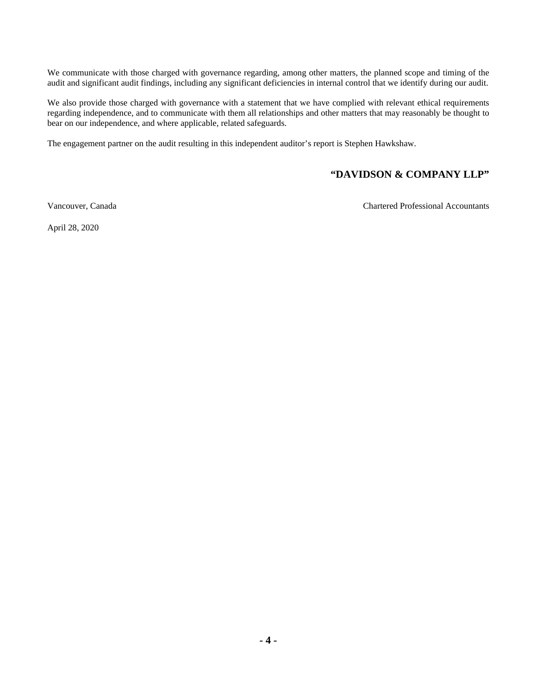We communicate with those charged with governance regarding, among other matters, the planned scope and timing of the audit and significant audit findings, including any significant deficiencies in internal control that we identify during our audit.

We also provide those charged with governance with a statement that we have complied with relevant ethical requirements regarding independence, and to communicate with them all relationships and other matters that may reasonably be thought to bear on our independence, and where applicable, related safeguards.

The engagement partner on the audit resulting in this independent auditor's report is Stephen Hawkshaw.

# **"DAVIDSON & COMPANY LLP"**

Vancouver, Canada Chartered Professional Accountants

April 28, 2020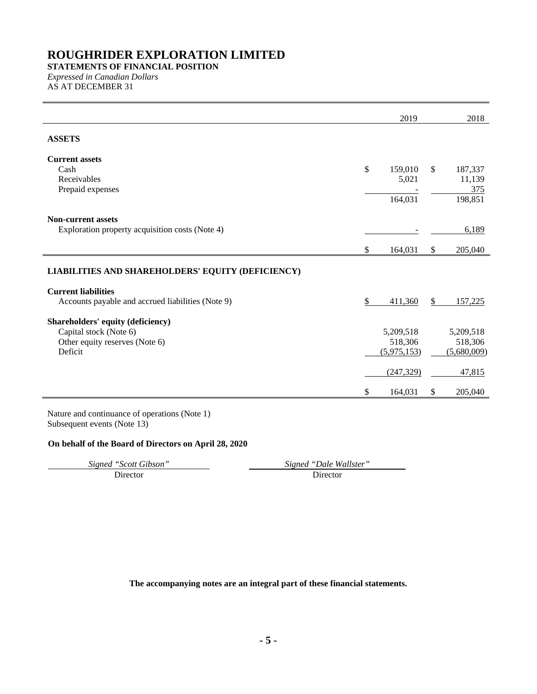**STATEMENTS OF FINANCIAL POSITION** *Expressed in Canadian Dollars*

AS AT DECEMBER 31

|                                                                                 | 2019                           | 2018                            |
|---------------------------------------------------------------------------------|--------------------------------|---------------------------------|
| <b>ASSETS</b>                                                                   |                                |                                 |
| <b>Current assets</b>                                                           |                                |                                 |
| Cash                                                                            | \$<br>159,010<br>$\mathcal{S}$ | 187,337                         |
| Receivables                                                                     | 5,021                          | 11,139                          |
| Prepaid expenses                                                                |                                | 375                             |
|                                                                                 | 164,031                        | 198,851                         |
| <b>Non-current assets</b>                                                       |                                |                                 |
| Exploration property acquisition costs (Note 4)                                 |                                | 6,189                           |
|                                                                                 | \$<br>164,031<br><sup>\$</sup> | 205,040                         |
|                                                                                 |                                |                                 |
| LIABILITIES AND SHAREHOLDERS' EQUITY (DEFICIENCY)                               |                                |                                 |
|                                                                                 |                                |                                 |
| <b>Current liabilities</b><br>Accounts payable and accrued liabilities (Note 9) | \$<br>411,360<br>\$.           |                                 |
|                                                                                 |                                |                                 |
| Shareholders' equity (deficiency)                                               |                                |                                 |
| Capital stock (Note 6)                                                          | 5,209,518<br>518,306           | 157,225<br>5,209,518<br>518,306 |
| Other equity reserves (Note 6)<br>Deficit                                       | (5,975,153)                    | (5,680,009)                     |
|                                                                                 | (247, 329)                     | 47,815                          |

Nature and continuance of operations (Note 1) Subsequent events (Note 13)

# **On behalf of the Board of Directors on April 28, 2020**

*Signed "Scott Gibson" Signed "Dale Wallster"* Director Director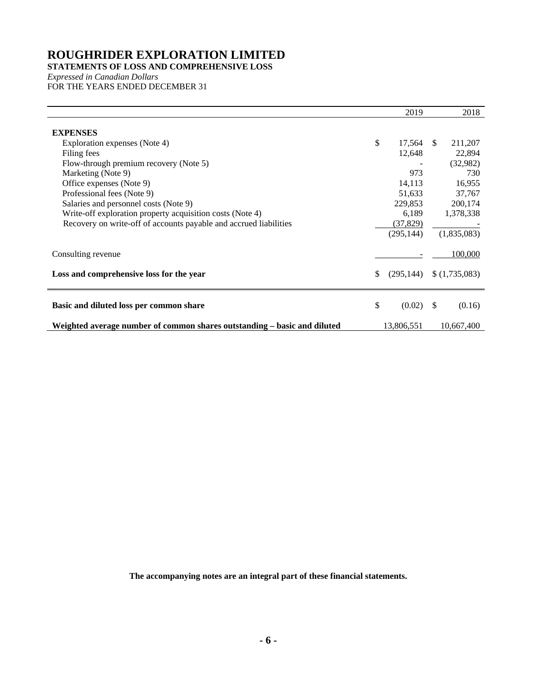# **STATEMENTS OF LOSS AND COMPREHENSIVE LOSS**

*Expressed in Canadian Dollars* FOR THE YEARS ENDED DECEMBER 31

|                                                                          |     | 2019       |               | 2018          |
|--------------------------------------------------------------------------|-----|------------|---------------|---------------|
| <b>EXPENSES</b>                                                          |     |            |               |               |
| Exploration expenses (Note 4)                                            | \$  | 17,564     | <sup>\$</sup> | 211,207       |
| Filing fees                                                              |     | 12,648     |               | 22,894        |
| Flow-through premium recovery (Note 5)                                   |     |            |               | (32,982)      |
| Marketing (Note 9)                                                       |     | 973        |               | 730           |
| Office expenses (Note 9)                                                 |     | 14,113     |               | 16,955        |
| Professional fees (Note 9)                                               |     | 51,633     |               | 37,767        |
| Salaries and personnel costs (Note 9)                                    |     | 229,853    |               | 200,174       |
| Write-off exploration property acquisition costs (Note 4)                |     | 6,189      |               | 1,378,338     |
| Recovery on write-off of accounts payable and accrued liabilities        |     | (37, 829)  |               |               |
|                                                                          |     | (295, 144) |               | (1,835,083)   |
| Consulting revenue                                                       |     |            |               | 100,000       |
| Loss and comprehensive loss for the year                                 | \$. | (295, 144) |               | \$(1,735,083) |
| Basic and diluted loss per common share                                  | \$  | (0.02)     | \$            | (0.16)        |
| Weighted average number of common shares outstanding – basic and diluted |     | 13,806,551 |               | 10,667,400    |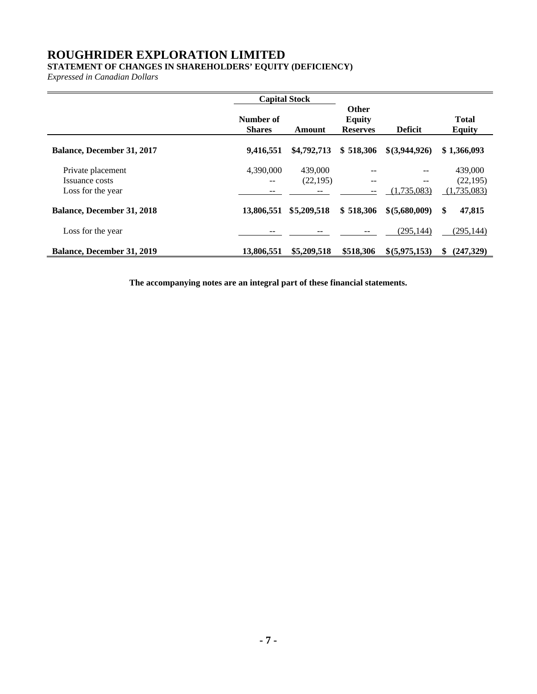# **STATEMENT OF CHANGES IN SHAREHOLDERS' EQUITY (DEFICIENCY)**

*Expressed in Canadian Dollars*

|                                                          | <b>Capital Stock</b>       |                     |                                                  |                   |                                     |
|----------------------------------------------------------|----------------------------|---------------------|--------------------------------------------------|-------------------|-------------------------------------|
|                                                          | Number of<br><b>Shares</b> | Amount              | <b>Other</b><br><b>Equity</b><br><b>Reserves</b> | <b>Deficit</b>    | <b>Total</b><br><b>Equity</b>       |
| <b>Balance, December 31, 2017</b>                        | 9,416,551                  | \$4,792,713         | \$518,306                                        | $$$ (3,944,926)   | \$1,366,093                         |
| Private placement<br>Issuance costs<br>Loss for the year | 4,390,000                  | 439,000<br>(22,195) | $- -$                                            | --<br>(1,735,083) | 439,000<br>(22, 195)<br>(1,735,083) |
| <b>Balance, December 31, 2018</b>                        | 13,806,551                 | \$5,209,518         | \$518,306                                        | \$ (5,680,009)    | \$<br>47,815                        |
| Loss for the year                                        |                            |                     |                                                  | (295, 144)        | (295, 144)                          |
| <b>Balance, December 31, 2019</b>                        | 13,806,551                 | \$5,209,518         | \$518,306                                        | \$(5,975,153)     | (247.329)<br>S.                     |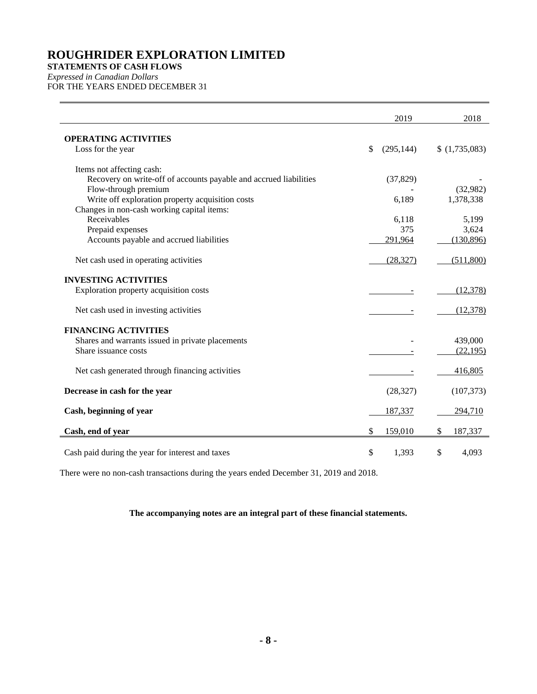**STATEMENTS OF CASH FLOWS** 

*Expressed in Canadian Dollars* FOR THE YEARS ENDED DECEMBER 31

|                                                                   | 2019             | 2018          |
|-------------------------------------------------------------------|------------------|---------------|
| <b>OPERATING ACTIVITIES</b>                                       |                  |               |
| Loss for the year                                                 | \$<br>(295, 144) | \$(1,735,083) |
| Items not affecting cash:                                         |                  |               |
| Recovery on write-off of accounts payable and accrued liabilities | (37, 829)        |               |
| Flow-through premium                                              |                  | (32,982)      |
| Write off exploration property acquisition costs                  | 6,189            | 1,378,338     |
| Changes in non-cash working capital items:                        |                  |               |
| Receivables                                                       | 6,118            | 5,199         |
| Prepaid expenses                                                  | 375              | 3,624         |
| Accounts payable and accrued liabilities                          | 291,964          | (130, 896)    |
| Net cash used in operating activities                             | (28, 327)        | (511,800)     |
| <b>INVESTING ACTIVITIES</b>                                       |                  |               |
| Exploration property acquisition costs                            |                  | (12, 378)     |
| Net cash used in investing activities                             |                  | (12, 378)     |
| <b>FINANCING ACTIVITIES</b>                                       |                  |               |
| Shares and warrants issued in private placements                  |                  | 439,000       |
| Share issuance costs                                              |                  | (22, 195)     |
| Net cash generated through financing activities                   |                  | 416,805       |
| Decrease in cash for the year                                     | (28, 327)        | (107, 373)    |
| Cash, beginning of year                                           | 187,337          | 294,710       |
| Cash, end of year                                                 | \$<br>159,010    | \$<br>187,337 |
| Cash paid during the year for interest and taxes                  | \$<br>1,393      | \$<br>4,093   |

There were no non-cash transactions during the years ended December 31, 2019 and 2018.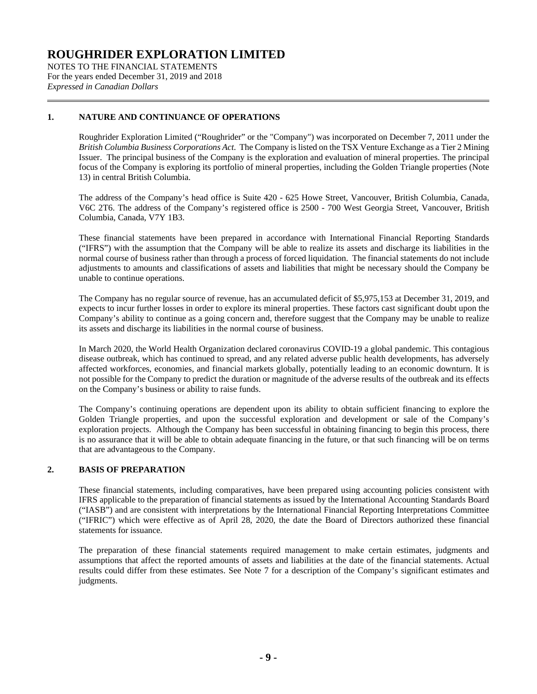NOTES TO THE FINANCIAL STATEMENTS For the years ended December 31, 2019 and 2018 *Expressed in Canadian Dollars*

# **1. NATURE AND CONTINUANCE OF OPERATIONS**

Roughrider Exploration Limited ("Roughrider" or the "Company") was incorporated on December 7, 2011 under the *British Columbia Business Corporations Act*. The Company is listed on the TSX Venture Exchange as a Tier 2 Mining Issuer. The principal business of the Company is the exploration and evaluation of mineral properties. The principal focus of the Company is exploring its portfolio of mineral properties, including the Golden Triangle properties (Note 13) in central British Columbia.

The address of the Company's head office is Suite 420 - 625 Howe Street, Vancouver, British Columbia, Canada, V6C 2T6. The address of the Company's registered office is 2500 - 700 West Georgia Street, Vancouver, British Columbia, Canada, V7Y 1B3.

These financial statements have been prepared in accordance with International Financial Reporting Standards ("IFRS") with the assumption that the Company will be able to realize its assets and discharge its liabilities in the normal course of business rather than through a process of forced liquidation. The financial statements do not include adjustments to amounts and classifications of assets and liabilities that might be necessary should the Company be unable to continue operations.

The Company has no regular source of revenue, has an accumulated deficit of \$5,975,153 at December 31, 2019, and expects to incur further losses in order to explore its mineral properties. These factors cast significant doubt upon the Company's ability to continue as a going concern and, therefore suggest that the Company may be unable to realize its assets and discharge its liabilities in the normal course of business.

In March 2020, the World Health Organization declared coronavirus COVID-19 a global pandemic. This contagious disease outbreak, which has continued to spread, and any related adverse public health developments, has adversely affected workforces, economies, and financial markets globally, potentially leading to an economic downturn. It is not possible for the Company to predict the duration or magnitude of the adverse results of the outbreak and its effects on the Company's business or ability to raise funds.

The Company's continuing operations are dependent upon its ability to obtain sufficient financing to explore the Golden Triangle properties, and upon the successful exploration and development or sale of the Company's exploration projects. Although the Company has been successful in obtaining financing to begin this process, there is no assurance that it will be able to obtain adequate financing in the future, or that such financing will be on terms that are advantageous to the Company.

# **2. BASIS OF PREPARATION**

These financial statements, including comparatives, have been prepared using accounting policies consistent with IFRS applicable to the preparation of financial statements as issued by the International Accounting Standards Board ("IASB") and are consistent with interpretations by the International Financial Reporting Interpretations Committee ("IFRIC") which were effective as of April 28, 2020, the date the Board of Directors authorized these financial statements for issuance.

The preparation of these financial statements required management to make certain estimates, judgments and assumptions that affect the reported amounts of assets and liabilities at the date of the financial statements. Actual results could differ from these estimates. See Note 7 for a description of the Company's significant estimates and judgments.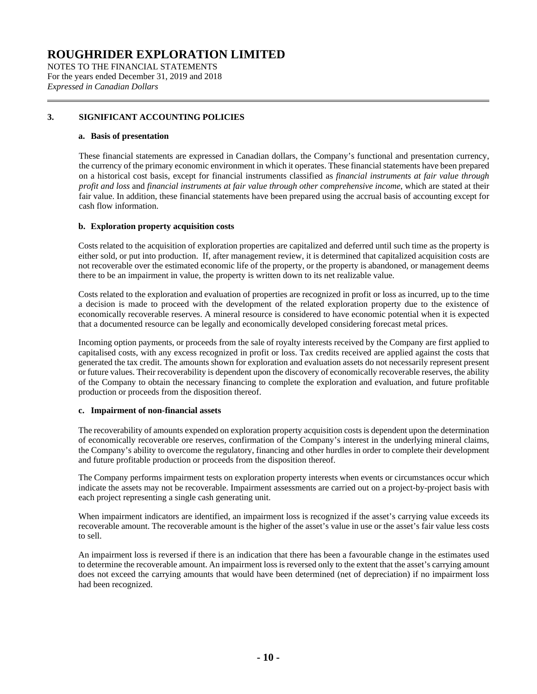NOTES TO THE FINANCIAL STATEMENTS For the years ended December 31, 2019 and 2018 *Expressed in Canadian Dollars*

# **3. SIGNIFICANT ACCOUNTING POLICIES**

#### **a. Basis of presentation**

These financial statements are expressed in Canadian dollars, the Company's functional and presentation currency, the currency of the primary economic environment in which it operates. These financial statements have been prepared on a historical cost basis, except for financial instruments classified as *financial instruments at fair value through profit and loss* and *financial instruments at fair value through other comprehensive income*, which are stated at their fair value. In addition, these financial statements have been prepared using the accrual basis of accounting except for cash flow information.

# **b. Exploration property acquisition costs**

Costs related to the acquisition of exploration properties are capitalized and deferred until such time as the property is either sold, or put into production. If, after management review, it is determined that capitalized acquisition costs are not recoverable over the estimated economic life of the property, or the property is abandoned, or management deems there to be an impairment in value, the property is written down to its net realizable value.

Costs related to the exploration and evaluation of properties are recognized in profit or loss as incurred, up to the time a decision is made to proceed with the development of the related exploration property due to the existence of economically recoverable reserves. A mineral resource is considered to have economic potential when it is expected that a documented resource can be legally and economically developed considering forecast metal prices.

Incoming option payments, or proceeds from the sale of royalty interests received by the Company are first applied to capitalised costs, with any excess recognized in profit or loss. Tax credits received are applied against the costs that generated the tax credit. The amounts shown for exploration and evaluation assets do not necessarily represent present or future values. Their recoverability is dependent upon the discovery of economically recoverable reserves, the ability of the Company to obtain the necessary financing to complete the exploration and evaluation, and future profitable production or proceeds from the disposition thereof.

#### **c. Impairment of non-financial assets**

The recoverability of amounts expended on exploration property acquisition costs is dependent upon the determination of economically recoverable ore reserves, confirmation of the Company's interest in the underlying mineral claims, the Company's ability to overcome the regulatory, financing and other hurdles in order to complete their development and future profitable production or proceeds from the disposition thereof.

The Company performs impairment tests on exploration property interests when events or circumstances occur which indicate the assets may not be recoverable. Impairment assessments are carried out on a project-by-project basis with each project representing a single cash generating unit.

When impairment indicators are identified, an impairment loss is recognized if the asset's carrying value exceeds its recoverable amount. The recoverable amount is the higher of the asset's value in use or the asset's fair value less costs to sell.

An impairment loss is reversed if there is an indication that there has been a favourable change in the estimates used to determine the recoverable amount. An impairment loss is reversed only to the extent that the asset's carrying amount does not exceed the carrying amounts that would have been determined (net of depreciation) if no impairment loss had been recognized.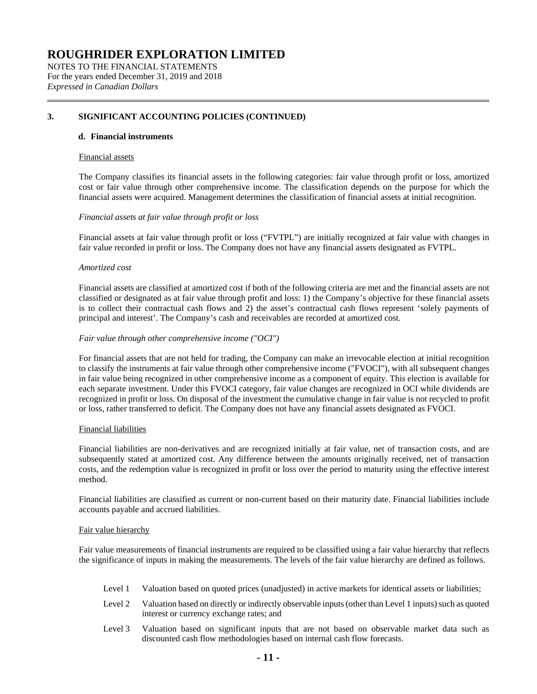NOTES TO THE FINANCIAL STATEMENTS For the years ended December 31, 2019 and 2018 *Expressed in Canadian Dollars*

### **3. SIGNIFICANT ACCOUNTING POLICIES (CONTINUED)**

#### **d. Financial instruments**

#### Financial assets

The Company classifies its financial assets in the following categories: fair value through profit or loss, amortized cost or fair value through other comprehensive income. The classification depends on the purpose for which the financial assets were acquired. Management determines the classification of financial assets at initial recognition.

#### *Financial assets at fair value through profit or loss*

Financial assets at fair value through profit or loss ("FVTPL") are initially recognized at fair value with changes in fair value recorded in profit or loss. The Company does not have any financial assets designated as FVTPL.

#### *Amortized cost*

Financial assets are classified at amortized cost if both of the following criteria are met and the financial assets are not classified or designated as at fair value through profit and loss: 1) the Company's objective for these financial assets is to collect their contractual cash flows and 2) the asset's contractual cash flows represent 'solely payments of principal and interest'. The Company's cash and receivables are recorded at amortized cost.

#### *Fair value through other comprehensive income ("OCI")*

For financial assets that are not held for trading, the Company can make an irrevocable election at initial recognition to classify the instruments at fair value through other comprehensive income ("FVOCI"), with all subsequent changes in fair value being recognized in other comprehensive income as a component of equity. This election is available for each separate investment. Under this FVOCI category, fair value changes are recognized in OCI while dividends are recognized in profit or loss. On disposal of the investment the cumulative change in fair value is not recycled to profit or loss, rather transferred to deficit. The Company does not have any financial assets designated as FVOCI.

#### Financial liabilities

Financial liabilities are non-derivatives and are recognized initially at fair value, net of transaction costs, and are subsequently stated at amortized cost. Any difference between the amounts originally received, net of transaction costs, and the redemption value is recognized in profit or loss over the period to maturity using the effective interest method.

Financial liabilities are classified as current or non-current based on their maturity date. Financial liabilities include accounts payable and accrued liabilities.

#### Fair value hierarchy

Fair value measurements of financial instruments are required to be classified using a fair value hierarchy that reflects the significance of inputs in making the measurements. The levels of the fair value hierarchy are defined as follows.

- Level 1 Valuation based on quoted prices (unadjusted) in active markets for identical assets or liabilities;
- Level 2 Valuation based on directly or indirectly observable inputs (other than Level 1 inputs) such as quoted interest or currency exchange rates; and
- Level 3 Valuation based on significant inputs that are not based on observable market data such as discounted cash flow methodologies based on internal cash flow forecasts.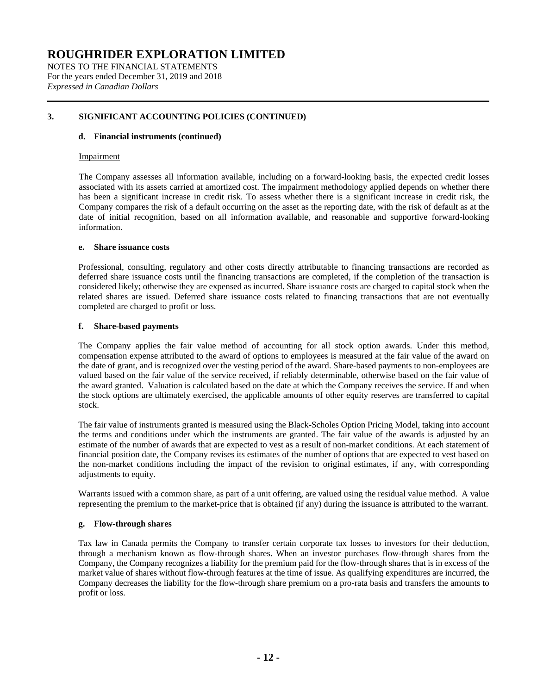NOTES TO THE FINANCIAL STATEMENTS For the years ended December 31, 2019 and 2018 *Expressed in Canadian Dollars*

# **3. SIGNIFICANT ACCOUNTING POLICIES (CONTINUED)**

#### **d. Financial instruments (continued)**

#### Impairment

The Company assesses all information available, including on a forward-looking basis, the expected credit losses associated with its assets carried at amortized cost. The impairment methodology applied depends on whether there has been a significant increase in credit risk. To assess whether there is a significant increase in credit risk, the Company compares the risk of a default occurring on the asset as the reporting date, with the risk of default as at the date of initial recognition, based on all information available, and reasonable and supportive forward-looking information.

#### **e. Share issuance costs**

Professional, consulting, regulatory and other costs directly attributable to financing transactions are recorded as deferred share issuance costs until the financing transactions are completed, if the completion of the transaction is considered likely; otherwise they are expensed as incurred. Share issuance costs are charged to capital stock when the related shares are issued. Deferred share issuance costs related to financing transactions that are not eventually completed are charged to profit or loss.

#### **f. Share-based payments**

The Company applies the fair value method of accounting for all stock option awards. Under this method, compensation expense attributed to the award of options to employees is measured at the fair value of the award on the date of grant, and is recognized over the vesting period of the award. Share-based payments to non-employees are valued based on the fair value of the service received, if reliably determinable, otherwise based on the fair value of the award granted. Valuation is calculated based on the date at which the Company receives the service. If and when the stock options are ultimately exercised, the applicable amounts of other equity reserves are transferred to capital stock.

The fair value of instruments granted is measured using the Black-Scholes Option Pricing Model, taking into account the terms and conditions under which the instruments are granted. The fair value of the awards is adjusted by an estimate of the number of awards that are expected to vest as a result of non-market conditions. At each statement of financial position date, the Company revises its estimates of the number of options that are expected to vest based on the non-market conditions including the impact of the revision to original estimates, if any, with corresponding adjustments to equity.

Warrants issued with a common share, as part of a unit offering, are valued using the residual value method. A value representing the premium to the market-price that is obtained (if any) during the issuance is attributed to the warrant.

# **g. Flow-through shares**

Tax law in Canada permits the Company to transfer certain corporate tax losses to investors for their deduction, through a mechanism known as flow-through shares. When an investor purchases flow-through shares from the Company, the Company recognizes a liability for the premium paid for the flow-through shares that is in excess of the market value of shares without flow-through features at the time of issue. As qualifying expenditures are incurred, the Company decreases the liability for the flow-through share premium on a pro-rata basis and transfers the amounts to profit or loss.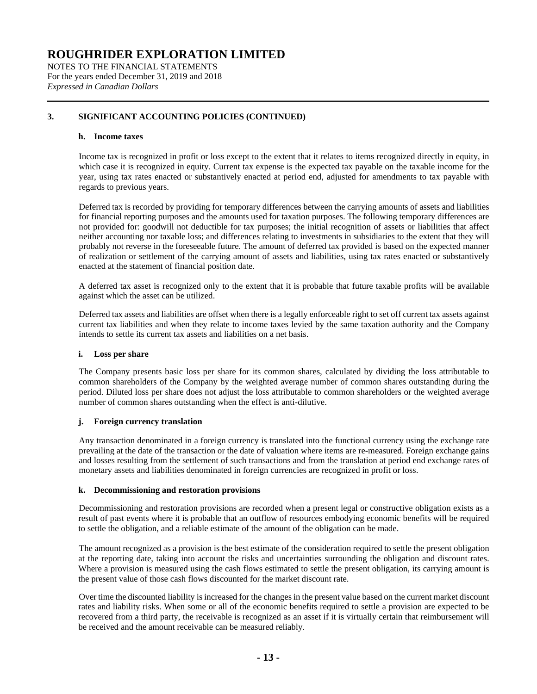NOTES TO THE FINANCIAL STATEMENTS For the years ended December 31, 2019 and 2018 *Expressed in Canadian Dollars*

# **3. SIGNIFICANT ACCOUNTING POLICIES (CONTINUED)**

#### **h. Income taxes**

Income tax is recognized in profit or loss except to the extent that it relates to items recognized directly in equity, in which case it is recognized in equity. Current tax expense is the expected tax payable on the taxable income for the year, using tax rates enacted or substantively enacted at period end, adjusted for amendments to tax payable with regards to previous years.

Deferred tax is recorded by providing for temporary differences between the carrying amounts of assets and liabilities for financial reporting purposes and the amounts used for taxation purposes. The following temporary differences are not provided for: goodwill not deductible for tax purposes; the initial recognition of assets or liabilities that affect neither accounting nor taxable loss; and differences relating to investments in subsidiaries to the extent that they will probably not reverse in the foreseeable future. The amount of deferred tax provided is based on the expected manner of realization or settlement of the carrying amount of assets and liabilities, using tax rates enacted or substantively enacted at the statement of financial position date.

A deferred tax asset is recognized only to the extent that it is probable that future taxable profits will be available against which the asset can be utilized.

Deferred tax assets and liabilities are offset when there is a legally enforceable right to set off current tax assets against current tax liabilities and when they relate to income taxes levied by the same taxation authority and the Company intends to settle its current tax assets and liabilities on a net basis.

# **i. Loss per share**

The Company presents basic loss per share for its common shares, calculated by dividing the loss attributable to common shareholders of the Company by the weighted average number of common shares outstanding during the period. Diluted loss per share does not adjust the loss attributable to common shareholders or the weighted average number of common shares outstanding when the effect is anti-dilutive.

# **j. Foreign currency translation**

Any transaction denominated in a foreign currency is translated into the functional currency using the exchange rate prevailing at the date of the transaction or the date of valuation where items are re-measured. Foreign exchange gains and losses resulting from the settlement of such transactions and from the translation at period end exchange rates of monetary assets and liabilities denominated in foreign currencies are recognized in profit or loss.

#### **k. Decommissioning and restoration provisions**

Decommissioning and restoration provisions are recorded when a present legal or constructive obligation exists as a result of past events where it is probable that an outflow of resources embodying economic benefits will be required to settle the obligation, and a reliable estimate of the amount of the obligation can be made.

The amount recognized as a provision is the best estimate of the consideration required to settle the present obligation at the reporting date, taking into account the risks and uncertainties surrounding the obligation and discount rates. Where a provision is measured using the cash flows estimated to settle the present obligation, its carrying amount is the present value of those cash flows discounted for the market discount rate.

Over time the discounted liability is increased for the changes in the present value based on the current market discount rates and liability risks. When some or all of the economic benefits required to settle a provision are expected to be recovered from a third party, the receivable is recognized as an asset if it is virtually certain that reimbursement will be received and the amount receivable can be measured reliably.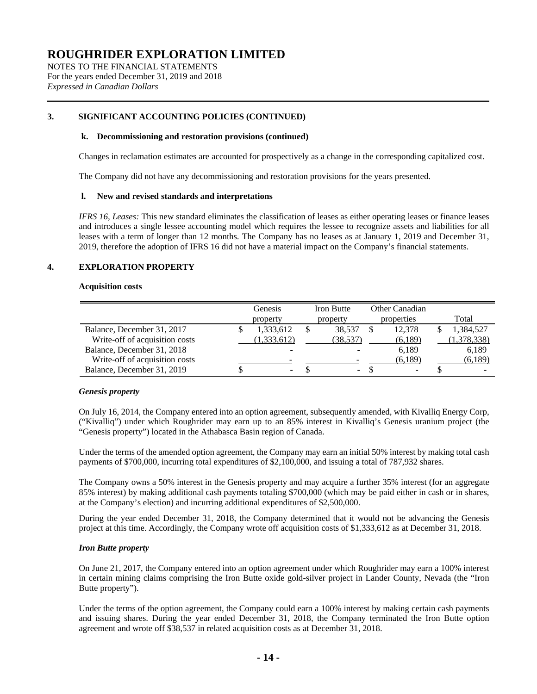NOTES TO THE FINANCIAL STATEMENTS For the years ended December 31, 2019 and 2018 *Expressed in Canadian Dollars*

# **3. SIGNIFICANT ACCOUNTING POLICIES (CONTINUED)**

#### **k. Decommissioning and restoration provisions (continued)**

Changes in reclamation estimates are accounted for prospectively as a change in the corresponding capitalized cost.

The Company did not have any decommissioning and restoration provisions for the years presented.

#### **l. New and revised standards and interpretations**

*IFRS 16, Leases:* This new standard eliminates the classification of leases as either operating leases or finance leases and introduces a single lessee accounting model which requires the lessee to recognize assets and liabilities for all leases with a term of longer than 12 months. The Company has no leases as at January 1, 2019 and December 31, 2019, therefore the adoption of IFRS 16 did not have a material impact on the Company's financial statements.

# **4. EXPLORATION PROPERTY**

#### **Acquisition costs**

|                                | Genesis     | Iron Butte | Other Canadian           |            |
|--------------------------------|-------------|------------|--------------------------|------------|
|                                | property    | property   | properties               | Total      |
| Balance, December 31, 2017     | 1,333,612   | 38.537     | 12.378                   | 1,384,527  |
| Write-off of acquisition costs | (1,333,612) | (38,537)   | (6,189)                  | 1,378,338) |
| Balance, December 31, 2018     |             |            | 6,189                    | 6,189      |
| Write-off of acquisition costs |             |            | (6,189)                  | (6,189)    |
| Balance, December 31, 2019     |             | ۰.         | $\overline{\phantom{a}}$ |            |

# *Genesis property*

On July 16, 2014, the Company entered into an option agreement, subsequently amended, with Kivalliq Energy Corp, ("Kivalliq") under which Roughrider may earn up to an 85% interest in Kivalliq's Genesis uranium project (the "Genesis property") located in the Athabasca Basin region of Canada.

Under the terms of the amended option agreement, the Company may earn an initial 50% interest by making total cash payments of \$700,000, incurring total expenditures of \$2,100,000, and issuing a total of 787,932 shares.

The Company owns a 50% interest in the Genesis property and may acquire a further 35% interest (for an aggregate 85% interest) by making additional cash payments totaling \$700,000 (which may be paid either in cash or in shares, at the Company's election) and incurring additional expenditures of \$2,500,000.

During the year ended December 31, 2018, the Company determined that it would not be advancing the Genesis project at this time. Accordingly, the Company wrote off acquisition costs of \$1,333,612 as at December 31, 2018.

# *Iron Butte property*

On June 21, 2017, the Company entered into an option agreement under which Roughrider may earn a 100% interest in certain mining claims comprising the Iron Butte oxide gold-silver project in Lander County, Nevada (the "Iron Butte property").

Under the terms of the option agreement, the Company could earn a 100% interest by making certain cash payments and issuing shares. During the year ended December 31, 2018, the Company terminated the Iron Butte option agreement and wrote off \$38,537 in related acquisition costs as at December 31, 2018.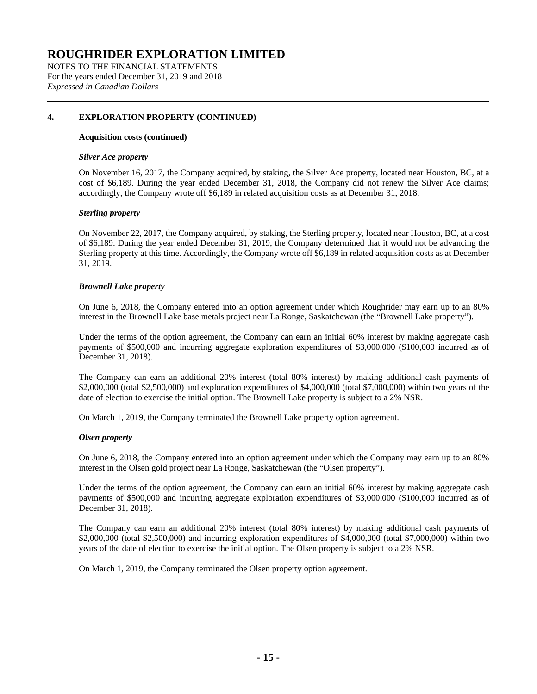NOTES TO THE FINANCIAL STATEMENTS For the years ended December 31, 2019 and 2018 *Expressed in Canadian Dollars*

# **4. EXPLORATION PROPERTY (CONTINUED)**

#### **Acquisition costs (continued)**

#### *Silver Ace property*

On November 16, 2017, the Company acquired, by staking, the Silver Ace property, located near Houston, BC, at a cost of \$6,189. During the year ended December 31, 2018, the Company did not renew the Silver Ace claims; accordingly, the Company wrote off \$6,189 in related acquisition costs as at December 31, 2018.

# *Sterling property*

On November 22, 2017, the Company acquired, by staking, the Sterling property, located near Houston, BC, at a cost of \$6,189. During the year ended December 31, 2019, the Company determined that it would not be advancing the Sterling property at this time. Accordingly, the Company wrote off \$6,189 in related acquisition costs as at December 31, 2019.

# *Brownell Lake property*

On June 6, 2018, the Company entered into an option agreement under which Roughrider may earn up to an 80% interest in the Brownell Lake base metals project near La Ronge, Saskatchewan (the "Brownell Lake property").

Under the terms of the option agreement, the Company can earn an initial 60% interest by making aggregate cash payments of \$500,000 and incurring aggregate exploration expenditures of \$3,000,000 (\$100,000 incurred as of December 31, 2018).

The Company can earn an additional 20% interest (total 80% interest) by making additional cash payments of \$2,000,000 (total \$2,500,000) and exploration expenditures of \$4,000,000 (total \$7,000,000) within two years of the date of election to exercise the initial option. The Brownell Lake property is subject to a 2% NSR.

On March 1, 2019, the Company terminated the Brownell Lake property option agreement.

#### *Olsen property*

On June 6, 2018, the Company entered into an option agreement under which the Company may earn up to an 80% interest in the Olsen gold project near La Ronge, Saskatchewan (the "Olsen property").

Under the terms of the option agreement, the Company can earn an initial 60% interest by making aggregate cash payments of \$500,000 and incurring aggregate exploration expenditures of \$3,000,000 (\$100,000 incurred as of December 31, 2018).

The Company can earn an additional 20% interest (total 80% interest) by making additional cash payments of \$2,000,000 (total \$2,500,000) and incurring exploration expenditures of \$4,000,000 (total \$7,000,000) within two years of the date of election to exercise the initial option. The Olsen property is subject to a 2% NSR.

On March 1, 2019, the Company terminated the Olsen property option agreement.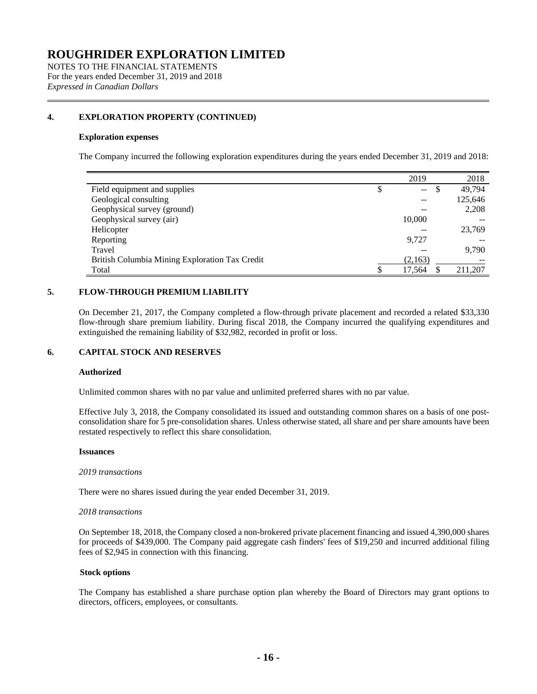NOTES TO THE FINANCIAL STATEMENTS For the years ended December 31, 2019 and 2018 *Expressed in Canadian Dollars*

# **4. EXPLORATION PROPERTY (CONTINUED)**

#### **Exploration expenses**

The Company incurred the following exploration expenditures during the years ended December 31, 2019 and 2018:

|                                                | 2019                           |          | 2018    |
|------------------------------------------------|--------------------------------|----------|---------|
| Field equipment and supplies                   | \$<br>$\overline{\phantom{m}}$ | <b>S</b> | 49.794  |
| Geological consulting                          | --                             |          | 125,646 |
| Geophysical survey (ground)                    |                                |          | 2,208   |
| Geophysical survey (air)                       | 10,000                         |          |         |
| Helicopter                                     |                                |          | 23,769  |
| Reporting                                      | 9.727                          |          |         |
| Travel                                         |                                |          | 9.790   |
| British Columbia Mining Exploration Tax Credit | (2,163)                        |          |         |
| Total                                          | 17,564                         |          | 211,207 |

# **5. FLOW-THROUGH PREMIUM LIABILITY**

On December 21, 2017, the Company completed a flow-through private placement and recorded a related \$33,330 flow-through share premium liability. During fiscal 2018, the Company incurred the qualifying expenditures and extinguished the remaining liability of \$32,982, recorded in profit or loss.

# **6. CAPITAL STOCK AND RESERVES**

#### **Authorized**

Unlimited common shares with no par value and unlimited preferred shares with no par value.

Effective July 3, 2018, the Company consolidated its issued and outstanding common shares on a basis of one postconsolidation share for 5 pre-consolidation shares. Unless otherwise stated, all share and per share amounts have been restated respectively to reflect this share consolidation.

#### **Issuances**

#### *2019 transactions*

There were no shares issued during the year ended December 31, 2019.

#### *2018 transactions*

On September 18, 2018, the Company closed a non-brokered private placement financing and issued 4,390,000 shares for proceeds of \$439,000. The Company paid aggregate cash finders' fees of \$19,250 and incurred additional filing fees of \$2,945 in connection with this financing.

#### **Stock options**

The Company has established a share purchase option plan whereby the Board of Directors may grant options to directors, officers, employees, or consultants.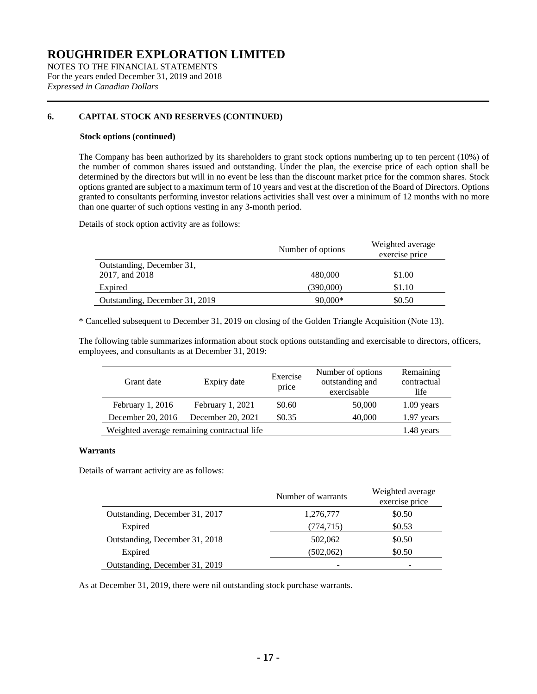NOTES TO THE FINANCIAL STATEMENTS For the years ended December 31, 2019 and 2018 *Expressed in Canadian Dollars*

# **6. CAPITAL STOCK AND RESERVES (CONTINUED)**

#### **Stock options (continued)**

The Company has been authorized by its shareholders to grant stock options numbering up to ten percent (10%) of the number of common shares issued and outstanding. Under the plan, the exercise price of each option shall be determined by the directors but will in no event be less than the discount market price for the common shares. Stock options granted are subject to a maximum term of 10 years and vest at the discretion of the Board of Directors. Options granted to consultants performing investor relations activities shall vest over a minimum of 12 months with no more than one quarter of such options vesting in any 3-month period.

Details of stock option activity are as follows:

|                                             | Number of options | Weighted average<br>exercise price |
|---------------------------------------------|-------------------|------------------------------------|
| Outstanding, December 31,<br>2017, and 2018 | 480,000           | \$1.00                             |
| Expired                                     | (390,000)         | \$1.10                             |
| Outstanding, December 31, 2019              | $90,000*$         | \$0.50                             |

\* Cancelled subsequent to December 31, 2019 on closing of the Golden Triangle Acquisition (Note 13).

The following table summarizes information about stock options outstanding and exercisable to directors, officers, employees, and consultants as at December 31, 2019:

| Grant date                                  | Expiry date       | Exercise<br>price | Number of options<br>outstanding and<br>exercisable | Remaining<br>contractual<br>life |
|---------------------------------------------|-------------------|-------------------|-----------------------------------------------------|----------------------------------|
| February 1, 2016                            | February 1, 2021  | \$0.60            | 50,000                                              | $1.09$ years                     |
| December 20, 2016                           | December 20, 2021 | \$0.35            | 40,000                                              | $1.97$ years                     |
| Weighted average remaining contractual life |                   | 1.48 years        |                                                     |                                  |

# **Warrants**

Details of warrant activity are as follows:

|                                | Number of warrants | Weighted average<br>exercise price |
|--------------------------------|--------------------|------------------------------------|
| Outstanding, December 31, 2017 | 1,276,777          | \$0.50                             |
| Expired                        | (774,715)          | \$0.53                             |
| Outstanding, December 31, 2018 | 502,062            | \$0.50                             |
| Expired                        | (502,062)          | \$0.50                             |
| Outstanding, December 31, 2019 |                    |                                    |

As at December 31, 2019, there were nil outstanding stock purchase warrants.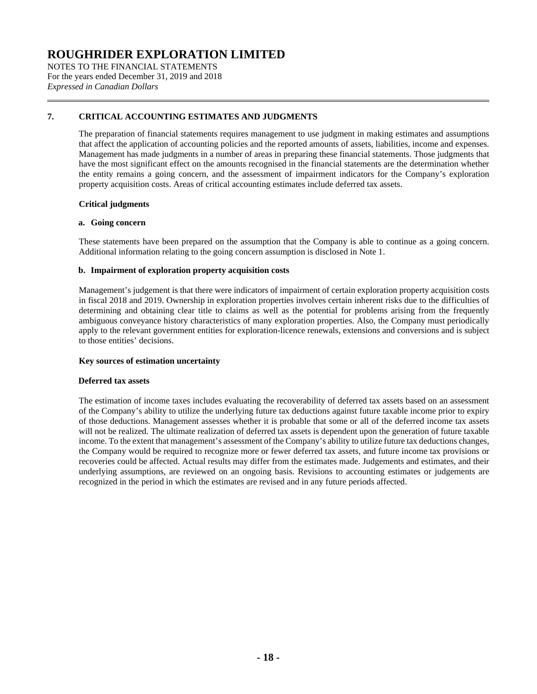NOTES TO THE FINANCIAL STATEMENTS For the years ended December 31, 2019 and 2018 *Expressed in Canadian Dollars*

# **7. CRITICAL ACCOUNTING ESTIMATES AND JUDGMENTS**

The preparation of financial statements requires management to use judgment in making estimates and assumptions that affect the application of accounting policies and the reported amounts of assets, liabilities, income and expenses. Management has made judgments in a number of areas in preparing these financial statements. Those judgments that have the most significant effect on the amounts recognised in the financial statements are the determination whether the entity remains a going concern, and the assessment of impairment indicators for the Company's exploration property acquisition costs. Areas of critical accounting estimates include deferred tax assets.

# **Critical judgments**

# **a. Going concern**

These statements have been prepared on the assumption that the Company is able to continue as a going concern. Additional information relating to the going concern assumption is disclosed in Note 1.

# **b. Impairment of exploration property acquisition costs**

Management's judgement is that there were indicators of impairment of certain exploration property acquisition costs in fiscal 2018 and 2019. Ownership in exploration properties involves certain inherent risks due to the difficulties of determining and obtaining clear title to claims as well as the potential for problems arising from the frequently ambiguous conveyance history characteristics of many exploration properties. Also, the Company must periodically apply to the relevant government entities for exploration-licence renewals, extensions and conversions and is subject to those entities' decisions.

# **Key sources of estimation uncertainty**

# **Deferred tax assets**

The estimation of income taxes includes evaluating the recoverability of deferred tax assets based on an assessment of the Company's ability to utilize the underlying future tax deductions against future taxable income prior to expiry of those deductions. Management assesses whether it is probable that some or all of the deferred income tax assets will not be realized. The ultimate realization of deferred tax assets is dependent upon the generation of future taxable income. To the extent that management's assessment of the Company's ability to utilize future tax deductions changes, the Company would be required to recognize more or fewer deferred tax assets, and future income tax provisions or recoveries could be affected. Actual results may differ from the estimates made. Judgements and estimates, and their underlying assumptions, are reviewed on an ongoing basis. Revisions to accounting estimates or judgements are recognized in the period in which the estimates are revised and in any future periods affected.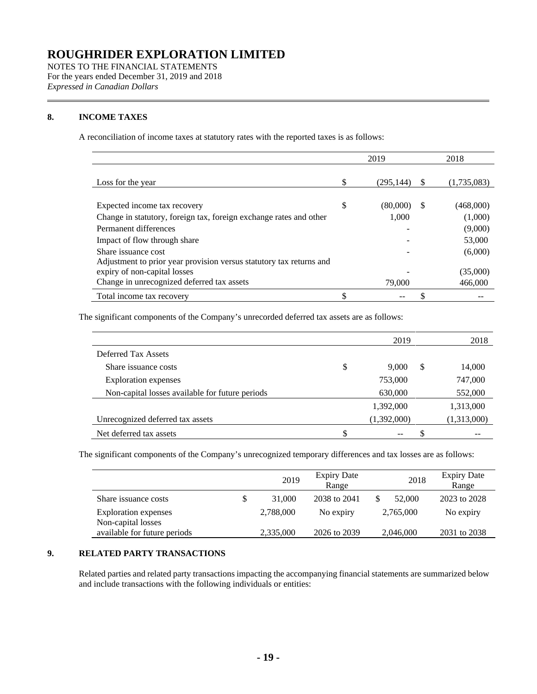NOTES TO THE FINANCIAL STATEMENTS For the years ended December 31, 2019 and 2018 *Expressed in Canadian Dollars*

# **8. INCOME TAXES**

A reconciliation of income taxes at statutory rates with the reported taxes is as follows:

|                                                                     |    | 2019      |          | 2018        |
|---------------------------------------------------------------------|----|-----------|----------|-------------|
| Loss for the year                                                   | \$ | (295.144) | <b>S</b> | (1,735,083) |
| Expected income tax recovery                                        | S  | (80,000)  | S.       | (468,000)   |
| Change in statutory, foreign tax, foreign exchange rates and other  |    | 1.000     |          | (1,000)     |
| Permanent differences                                               |    |           |          | (9,000)     |
| Impact of flow through share                                        |    |           |          | 53,000      |
| Share issuance cost                                                 |    |           |          | (6,000)     |
| Adjustment to prior year provision versus statutory tax returns and |    |           |          |             |
| expiry of non-capital losses                                        |    |           |          | (35,000)    |
| Change in unrecognized deferred tax assets                          |    | 79,000    |          | 466,000     |
| Total income tax recovery                                           |    |           |          |             |

The significant components of the Company's unrecorded deferred tax assets are as follows:

|                                                 | 2019              | 2018        |
|-------------------------------------------------|-------------------|-------------|
| Deferred Tax Assets                             |                   |             |
| Share issuance costs                            | \$<br>\$<br>9.000 | 14,000      |
| <b>Exploration</b> expenses                     | 753,000           | 747,000     |
| Non-capital losses available for future periods | 630,000           | 552,000     |
|                                                 | 1,392,000         | 1,313,000   |
| Unrecognized deferred tax assets                | (1,392,000)       | (1,313,000) |
| Net deferred tax assets                         |                   |             |

The significant components of the Company's unrecognized temporary differences and tax losses are as follows:

|                                                    | 2019         | <b>Expiry Date</b><br>Range | 2018      | <b>Expiry Date</b><br>Range |
|----------------------------------------------------|--------------|-----------------------------|-----------|-----------------------------|
| Share issuance costs                               | \$<br>31,000 | 2038 to 2041                | 52,000    | 2023 to 2028                |
| <b>Exploration</b> expenses                        | 2,788,000    | No expiry                   | 2,765,000 | No expiry                   |
| Non-capital losses<br>available for future periods | 2,335,000    | 2026 to 2039                | 2,046,000 | 2031 to 2038                |

### **9. RELATED PARTY TRANSACTIONS**

Related parties and related party transactions impacting the accompanying financial statements are summarized below and include transactions with the following individuals or entities: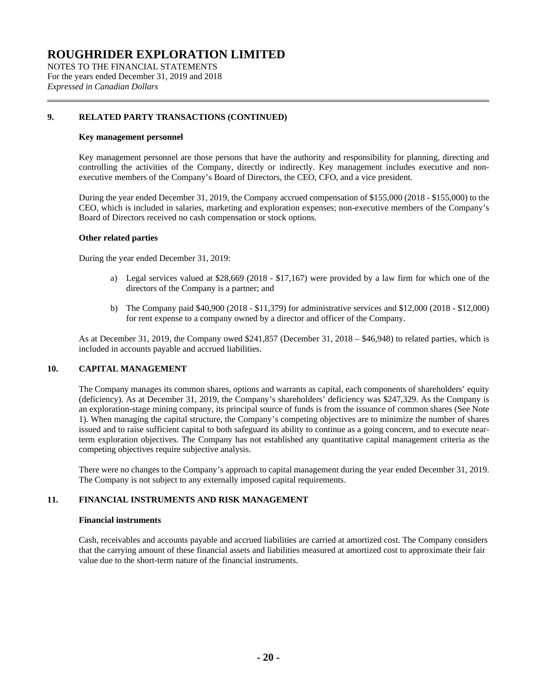NOTES TO THE FINANCIAL STATEMENTS For the years ended December 31, 2019 and 2018 *Expressed in Canadian Dollars*

# **9. RELATED PARTY TRANSACTIONS (CONTINUED)**

#### **Key management personnel**

Key management personnel are those persons that have the authority and responsibility for planning, directing and controlling the activities of the Company, directly or indirectly. Key management includes executive and nonexecutive members of the Company's Board of Directors, the CEO, CFO, and a vice president.

During the year ended December 31, 2019, the Company accrued compensation of \$155,000 (2018 - \$155,000) to the CEO, which is included in salaries, marketing and exploration expenses; non-executive members of the Company's Board of Directors received no cash compensation or stock options.

#### **Other related parties**

During the year ended December 31, 2019:

- a) Legal services valued at \$28,669 (2018 \$17,167) were provided by a law firm for which one of the directors of the Company is a partner; and
- b) The Company paid \$40,900 (2018 \$11,379) for administrative services and \$12,000 (2018 \$12,000) for rent expense to a company owned by a director and officer of the Company.

As at December 31, 2019, the Company owed \$241,857 (December 31, 2018 – \$46,948) to related parties, which is included in accounts payable and accrued liabilities.

# **10. CAPITAL MANAGEMENT**

The Company manages its common shares, options and warrants as capital, each components of shareholders' equity (deficiency). As at December 31, 2019, the Company's shareholders' deficiency was \$247,329. As the Company is an exploration-stage mining company, its principal source of funds is from the issuance of common shares (See Note 1). When managing the capital structure, the Company's competing objectives are to minimize the number of shares issued and to raise sufficient capital to both safeguard its ability to continue as a going concern, and to execute nearterm exploration objectives. The Company has not established any quantitative capital management criteria as the competing objectives require subjective analysis.

There were no changes to the Company's approach to capital management during the year ended December 31, 2019. The Company is not subject to any externally imposed capital requirements.

# **11. FINANCIAL INSTRUMENTS AND RISK MANAGEMENT**

### **Financial instruments**

Cash, receivables and accounts payable and accrued liabilities are carried at amortized cost. The Company considers that the carrying amount of these financial assets and liabilities measured at amortized cost to approximate their fair value due to the short-term nature of the financial instruments.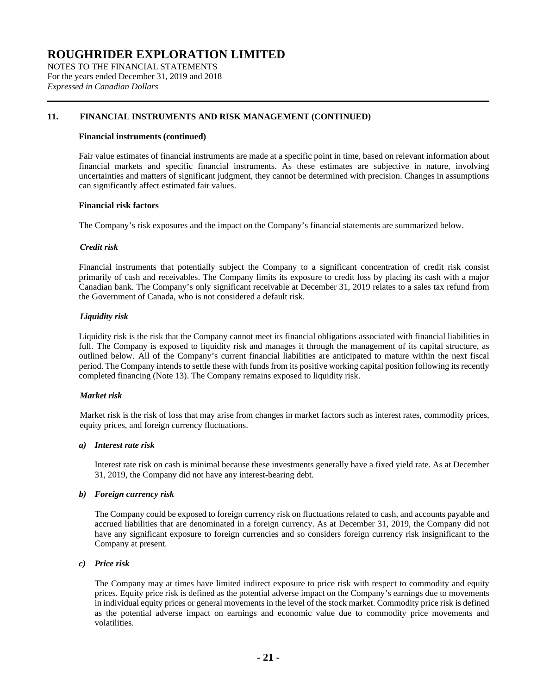NOTES TO THE FINANCIAL STATEMENTS For the years ended December 31, 2019 and 2018 *Expressed in Canadian Dollars*

# **11. FINANCIAL INSTRUMENTS AND RISK MANAGEMENT (CONTINUED)**

#### **Financial instruments (continued)**

Fair value estimates of financial instruments are made at a specific point in time, based on relevant information about financial markets and specific financial instruments. As these estimates are subjective in nature, involving uncertainties and matters of significant judgment, they cannot be determined with precision. Changes in assumptions can significantly affect estimated fair values.

#### **Financial risk factors**

The Company's risk exposures and the impact on the Company's financial statements are summarized below.

#### *Credit risk*

Financial instruments that potentially subject the Company to a significant concentration of credit risk consist primarily of cash and receivables. The Company limits its exposure to credit loss by placing its cash with a major Canadian bank. The Company's only significant receivable at December 31, 2019 relates to a sales tax refund from the Government of Canada, who is not considered a default risk.

#### *Liquidity risk*

Liquidity risk is the risk that the Company cannot meet its financial obligations associated with financial liabilities in full. The Company is exposed to liquidity risk and manages it through the management of its capital structure, as outlined below. All of the Company's current financial liabilities are anticipated to mature within the next fiscal period. The Company intends to settle these with funds from its positive working capital position following its recently completed financing (Note 13). The Company remains exposed to liquidity risk.

#### *Market risk*

Market risk is the risk of loss that may arise from changes in market factors such as interest rates, commodity prices, equity prices, and foreign currency fluctuations.

#### *a) Interest rate risk*

Interest rate risk on cash is minimal because these investments generally have a fixed yield rate. As at December 31, 2019, the Company did not have any interest-bearing debt.

#### *b) Foreign currency risk*

The Company could be exposed to foreign currency risk on fluctuations related to cash, and accounts payable and accrued liabilities that are denominated in a foreign currency. As at December 31, 2019, the Company did not have any significant exposure to foreign currencies and so considers foreign currency risk insignificant to the Company at present.

# *c) Price risk*

The Company may at times have limited indirect exposure to price risk with respect to commodity and equity prices. Equity price risk is defined as the potential adverse impact on the Company's earnings due to movements in individual equity prices or general movements in the level of the stock market. Commodity price risk is defined as the potential adverse impact on earnings and economic value due to commodity price movements and volatilities.